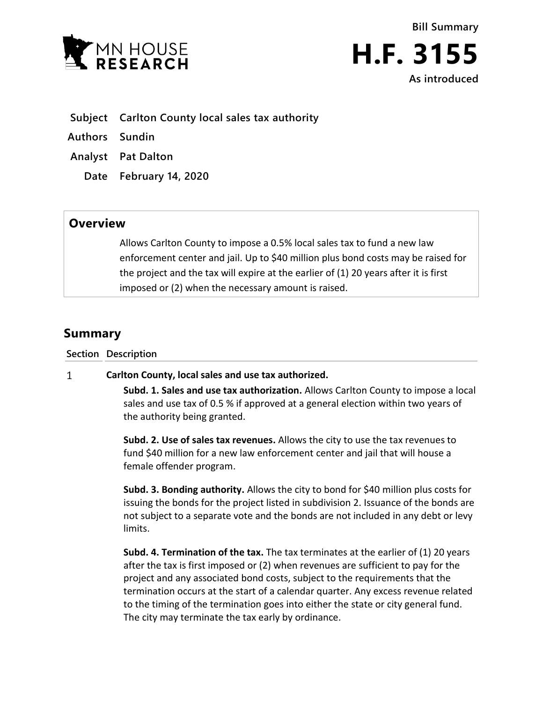

- **Subject Carlton County local sales tax authority**
- **Authors Sundin**
- **Analyst Pat Dalton**
	- **Date February 14, 2020**

## **Overview**

Allows Carlton County to impose a 0.5% local sales tax to fund a new law enforcement center and jail. Up to \$40 million plus bond costs may be raised for the project and the tax will expire at the earlier of (1) 20 years after it is first imposed or (2) when the necessary amount is raised.

## **Summary**

**Section Description**

## $\mathbf{1}$ **Carlton County, local sales and use tax authorized.**

**Subd. 1. Sales and use tax authorization.** Allows Carlton County to impose a local sales and use tax of 0.5 % if approved at a general election within two years of the authority being granted.

**Subd. 2. Use of sales tax revenues.** Allows the city to use the tax revenues to fund \$40 million for a new law enforcement center and jail that will house a female offender program.

**Subd. 3. Bonding authority.** Allows the city to bond for \$40 million plus costs for issuing the bonds for the project listed in subdivision 2. Issuance of the bonds are not subject to a separate vote and the bonds are not included in any debt or levy limits.

**Subd. 4. Termination of the tax.** The tax terminates at the earlier of (1) 20 years after the tax is first imposed or (2) when revenues are sufficient to pay for the project and any associated bond costs, subject to the requirements that the termination occurs at the start of a calendar quarter. Any excess revenue related to the timing of the termination goes into either the state or city general fund. The city may terminate the tax early by ordinance.